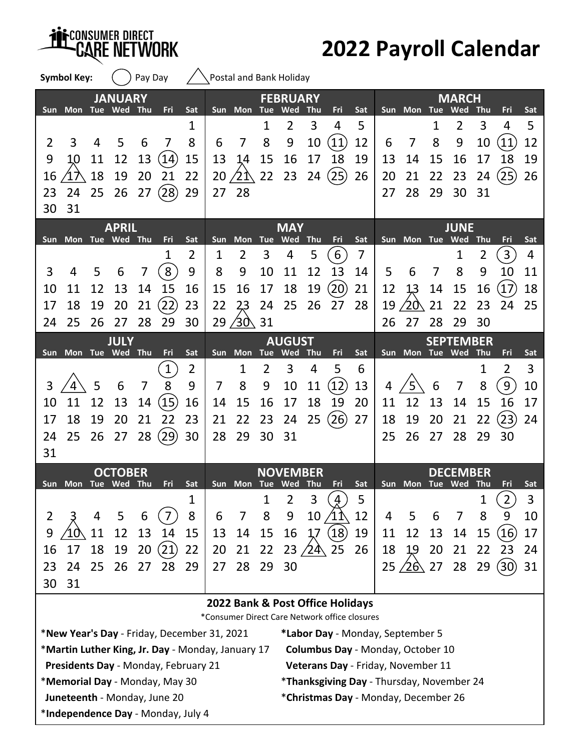**Symbol Key:**  $\binom{?}{?}$  Pay Day  $\binom{?}{?}$  Postal and Bank Holiday

## **2022 Payroll Calendar**

|                                  |                     |    | <b>JANUARY</b> |                |                    |                |     |                 |                | <b>FEBRUARY</b> |            |                                               |     |     |                        |    | <b>MARCH</b>     |     |                |     |
|----------------------------------|---------------------|----|----------------|----------------|--------------------|----------------|-----|-----------------|----------------|-----------------|------------|-----------------------------------------------|-----|-----|------------------------|----|------------------|-----|----------------|-----|
|                                  | Sun Mon Tue Wed     |    |                | <b>Thu</b>     | Fri                | Sat            |     | Sun Mon Tue     |                | Wed             | Thu        | Fri                                           | Sat |     | Sun Mon Tue            |    | Wed              | Thu | Fri            | Sat |
|                                  |                     |    |                |                |                    | 1              |     |                 | 1              | 2               | 3          | 4                                             | 5   |     |                        | 1  | $\overline{2}$   | 3   | 4              | 5   |
| $\overline{2}$                   | 3                   | 4  | 5              | 6              | 7                  | 8              | 6   | 7               | 8              | 9               | 10         | (11)                                          | 12  | 6   | 7                      | 8  | 9                | 10  | 11             | 12  |
| 9                                | 10                  | 11 | 12             | 13             | (14)               | 15             | 13  | 14              | 15             | 16              | 17         | 18                                            | 19  | 13  | 14                     | 15 | 16               | 17  | 18             | 19  |
| 16                               |                     | 18 | 19             | 20             | 21                 | 22             | 20  | 21              | 22             | 23              | 24         | (25)                                          | 26  | 20  | 21                     | 22 | 23               | 24  | (25)           | 26  |
| 23                               | 24                  | 25 | 26             | 27             | (28)               | 29             | 27  | 28              |                |                 |            |                                               |     | 27  | 28                     | 29 | 30               | 31  |                |     |
| 30                               | 31                  |    |                |                |                    |                |     |                 |                |                 |            |                                               |     |     |                        |    |                  |     |                |     |
|                                  |                     |    | <b>APRIL</b>   |                |                    |                |     |                 |                | <b>MAY</b>      |            |                                               |     |     |                        |    | <b>JUNE</b>      |     |                |     |
|                                  | Sun Mon Tue Wed Thu |    |                |                | Fri                | Sat            | Sun | <b>Mon</b>      |                | Tue Wed         | <b>Thu</b> | Fri                                           | Sat |     | Sun Mon Tue Wed        |    |                  | Thu | Fri            | Sat |
|                                  |                     |    |                |                | 1                  | $\overline{2}$ | 1   | $\overline{2}$  | 3              | 4               | 5          | $6\,$                                         | 7   |     |                        |    | 1                | 2   | $\overline{3}$ | 4   |
| 3                                | 4                   | 5  | 6              | 7              | 8                  | 9              | 8   | 9               | 10             | 11              | 12         | 13                                            | 14  | 5   | 6                      | 7  | 8                | 9   | 10             | 11  |
| 10                               | 11                  | 12 | 13             | 14             | 15                 | 16             | 15  | 16              | 17             | 18              | 19         | $\left( 20\right)$                            | 21  | 12  | 13                     | 14 | 15               | 16  | 17             | 18  |
| 17                               | 18                  | 19 | 20             | 21             | (22)               | 23             | 22  | 23              | 24             | 25              | 26         | 27                                            | 28  | 19  | 20                     | 21 | 22               | 23  | 24             | 25  |
| 24                               | 25                  | 26 | 27             | 28             | 29                 | 30             | 29  | $/30\sqrt{31}$  |                |                 |            |                                               |     | 26  | 27                     | 28 | 29               | 30  |                |     |
|                                  |                     |    | <b>JULY</b>    |                |                    |                |     |                 |                | <b>AUGUST</b>   |            |                                               |     |     |                        |    | <b>SEPTEMBER</b> |     |                |     |
| Sun                              | Mon Tue Wed Thu     |    |                |                | Fri                | Sat            |     | Sun Mon Tue Wed |                |                 | Thu        | Fri                                           | Sat |     | Sun Mon Tue Wed Thu    |    |                  |     | Fri            | Sat |
|                                  |                     |    |                |                | $\mathbf{1}$       | $\overline{2}$ |     | 1               | $\overline{2}$ | 3               | 4          | 5                                             | 6   |     |                        |    |                  | 1   | 2              | 3   |
| 3                                |                     | 5  | 6              | $\overline{7}$ | 8                  | 9              | 7   | 8               | 9              | 10              | 11         | (12)                                          | 13  | 4   |                        | 6  | 7                | 8   | 9              | 10  |
| 10                               | 11                  | 12 | 13             | 14             | (15)               | 16             | 14  | 15              | 16             | 17              | 18         | 19                                            | 20  | 11  | 12                     | 13 | 14               | 15  | 16             | 17  |
| 17                               | 18                  | 19 | 20             | 21             | 22                 | 23             | 21  | 22              | 23             | 24              | 25         | (26)                                          | 27  | 18  | 19                     | 20 | 21               | 22  | 23             | 24  |
| 24                               | 25                  | 26 | 27             | 28             | $\left( 29\right)$ | 30             | 28  | 29              | 30             | 31              |            |                                               |     | 25  | 26                     | 27 | 28               | 29  | 30             |     |
| 31                               |                     |    |                |                |                    |                |     |                 |                |                 |            |                                               |     |     |                        |    |                  |     |                |     |
|                                  |                     |    | <b>OCTOBER</b> |                |                    |                |     |                 |                | <b>NOVEMBER</b> |            |                                               |     |     |                        |    | <b>DECEMBER</b>  |     |                |     |
|                                  | Sun Mon Tue Wed Thu |    |                |                | Fri                | Sat            |     | Sun Mon Tue Wed |                |                 | <b>Thu</b> | Fri                                           | Sat |     | Sun Mon Tue Wed Thu    |    |                  |     | Fri            | Sat |
|                                  |                     |    |                |                |                    | 1              |     |                 | 1              | 2               | 3          | $\frac{4}{\pi}$                               | 5   |     |                        |    |                  | 1   | $\mathbf{2}$   | 3   |
| $\overline{2}$                   |                     | 4  | 5              | 6              | 7                  | 8              | 6   | 7               | 8              | 9               | 10         |                                               | 12  | 4   | 5                      | 6  | 7                | 8   | 9              | 10  |
| 9                                | ΊΟ                  | 11 | 12             | 13             | 14                 | 15             | 13  | 14              | 15             | 16              | 17         | $\left( 18\right)$                            | 19  | 11  | 12                     | 13 | 14               | 15  | (16)           | 17  |
| 16                               | 17                  | 18 | 19             | 20             | (21)               | 22             | 20  | 21              | 22             |                 | 23/24      | 25                                            | 26  | 18  | 19                     | 20 | 21               | 22  | 23             | 24  |
| 23                               | 24                  | 25 | 26             | 27             | 28                 | 29             | 27  | 28              | 29             | 30              |            |                                               |     | 25/ | $'26\!\!\! \lambda$ 27 |    | 28               | 29  | (30)           | 31  |
| 30                               | 31                  |    |                |                |                    |                |     |                 |                |                 |            |                                               |     |     |                        |    |                  |     |                |     |
| 2022 Bank & Post Office Holidays |                     |    |                |                |                    |                |     |                 |                |                 |            |                                               |     |     |                        |    |                  |     |                |     |
|                                  |                     |    |                |                |                    |                |     |                 |                |                 |            | *Consumer Direct Care Network office closures |     |     |                        |    |                  |     |                |     |

\***New Year's Day** ‐ Friday, December 31, 2021 **\*Labor Day** ‐ Monday, September 5

\***Martin Luther King, Jr. Day** ‐ Monday, January 17

**Presidents Day** ‐ Monday, February 21

\***Memorial Day** ‐ Monday, May 30

CONSUMER DIRECT

)RK

\***Independence Day** ‐ Monday, July 4

**Columbus Day** ‐ Monday, October 10

**Veterans Day** ‐ Friday, November 11

\***Thanksgiving Day** ‐ Thursday, November 24

**Juneteenth** ‐ Monday, June 20 \***Christmas Day** ‐ Monday, December 26